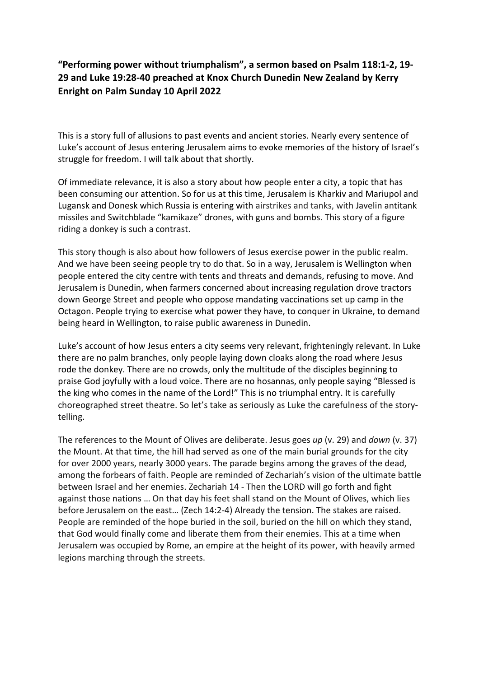## "Performing power without triumphalism", a sermon based on Psalm 118:1-2, 19- 29 and Luke 19:28-40 preached at Knox Church Dunedin New Zealand by Kerry Enright on Palm Sunday 10 April 2022

This is a story full of allusions to past events and ancient stories. Nearly every sentence of Luke's account of Jesus entering Jerusalem aims to evoke memories of the history of Israel's struggle for freedom. I will talk about that shortly.

Of immediate relevance, it is also a story about how people enter a city, a topic that has been consuming our attention. So for us at this time, Jerusalem is Kharkiv and Mariupol and Lugansk and Donesk which Russia is entering with airstrikes and tanks, with Javelin antitank missiles and Switchblade "kamikaze" drones, with guns and bombs. This story of a figure riding a donkey is such a contrast.

This story though is also about how followers of Jesus exercise power in the public realm. And we have been seeing people try to do that. So in a way, Jerusalem is Wellington when people entered the city centre with tents and threats and demands, refusing to move. And Jerusalem is Dunedin, when farmers concerned about increasing regulation drove tractors down George Street and people who oppose mandating vaccinations set up camp in the Octagon. People trying to exercise what power they have, to conquer in Ukraine, to demand being heard in Wellington, to raise public awareness in Dunedin.

Luke's account of how Jesus enters a city seems very relevant, frighteningly relevant. In Luke there are no palm branches, only people laying down cloaks along the road where Jesus rode the donkey. There are no crowds, only the multitude of the disciples beginning to praise God joyfully with a loud voice. There are no hosannas, only people saying "Blessed is the king who comes in the name of the Lord!" This is no triumphal entry. It is carefully choreographed street theatre. So let's take as seriously as Luke the carefulness of the storytelling.

The references to the Mount of Olives are deliberate. Jesus goes up (v. 29) and down (v. 37) the Mount. At that time, the hill had served as one of the main burial grounds for the city for over 2000 years, nearly 3000 years. The parade begins among the graves of the dead, among the forbears of faith. People are reminded of Zechariah's vision of the ultimate battle between Israel and her enemies. Zechariah 14 - Then the LORD will go forth and fight against those nations … On that day his feet shall stand on the Mount of Olives, which lies before Jerusalem on the east… (Zech 14:2-4) Already the tension. The stakes are raised. People are reminded of the hope buried in the soil, buried on the hill on which they stand, that God would finally come and liberate them from their enemies. This at a time when Jerusalem was occupied by Rome, an empire at the height of its power, with heavily armed legions marching through the streets.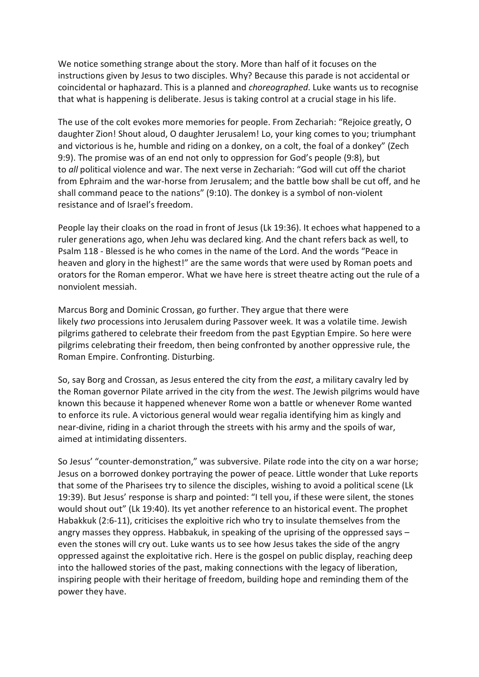We notice something strange about the story. More than half of it focuses on the instructions given by Jesus to two disciples. Why? Because this parade is not accidental or coincidental or haphazard. This is a planned and choreographed. Luke wants us to recognise that what is happening is deliberate. Jesus is taking control at a crucial stage in his life.

The use of the colt evokes more memories for people. From Zechariah: "Rejoice greatly, O daughter Zion! Shout aloud, O daughter Jerusalem! Lo, your king comes to you; triumphant and victorious is he, humble and riding on a donkey, on a colt, the foal of a donkey" (Zech 9:9). The promise was of an end not only to oppression for God's people (9:8), but to all political violence and war. The next verse in Zechariah: "God will cut off the chariot from Ephraim and the war-horse from Jerusalem; and the battle bow shall be cut off, and he shall command peace to the nations" (9:10). The donkey is a symbol of non-violent resistance and of Israel's freedom.

People lay their cloaks on the road in front of Jesus (Lk 19:36). It echoes what happened to a ruler generations ago, when Jehu was declared king. And the chant refers back as well, to Psalm 118 - Blessed is he who comes in the name of the Lord. And the words "Peace in heaven and glory in the highest!" are the same words that were used by Roman poets and orators for the Roman emperor. What we have here is street theatre acting out the rule of a nonviolent messiah.

Marcus Borg and Dominic Crossan, go further. They argue that there were likely two processions into Jerusalem during Passover week. It was a volatile time. Jewish pilgrims gathered to celebrate their freedom from the past Egyptian Empire. So here were pilgrims celebrating their freedom, then being confronted by another oppressive rule, the Roman Empire. Confronting. Disturbing.

So, say Borg and Crossan, as Jesus entered the city from the east, a military cavalry led by the Roman governor Pilate arrived in the city from the west. The Jewish pilgrims would have known this because it happened whenever Rome won a battle or whenever Rome wanted to enforce its rule. A victorious general would wear regalia identifying him as kingly and near-divine, riding in a chariot through the streets with his army and the spoils of war, aimed at intimidating dissenters.

So Jesus' "counter-demonstration," was subversive. Pilate rode into the city on a war horse; Jesus on a borrowed donkey portraying the power of peace. Little wonder that Luke reports that some of the Pharisees try to silence the disciples, wishing to avoid a political scene (Lk 19:39). But Jesus' response is sharp and pointed: "I tell you, if these were silent, the stones would shout out" (Lk 19:40). Its yet another reference to an historical event. The prophet Habakkuk (2:6-11), criticises the exploitive rich who try to insulate themselves from the angry masses they oppress. Habbakuk, in speaking of the uprising of the oppressed says – even the stones will cry out. Luke wants us to see how Jesus takes the side of the angry oppressed against the exploitative rich. Here is the gospel on public display, reaching deep into the hallowed stories of the past, making connections with the legacy of liberation, inspiring people with their heritage of freedom, building hope and reminding them of the power they have.